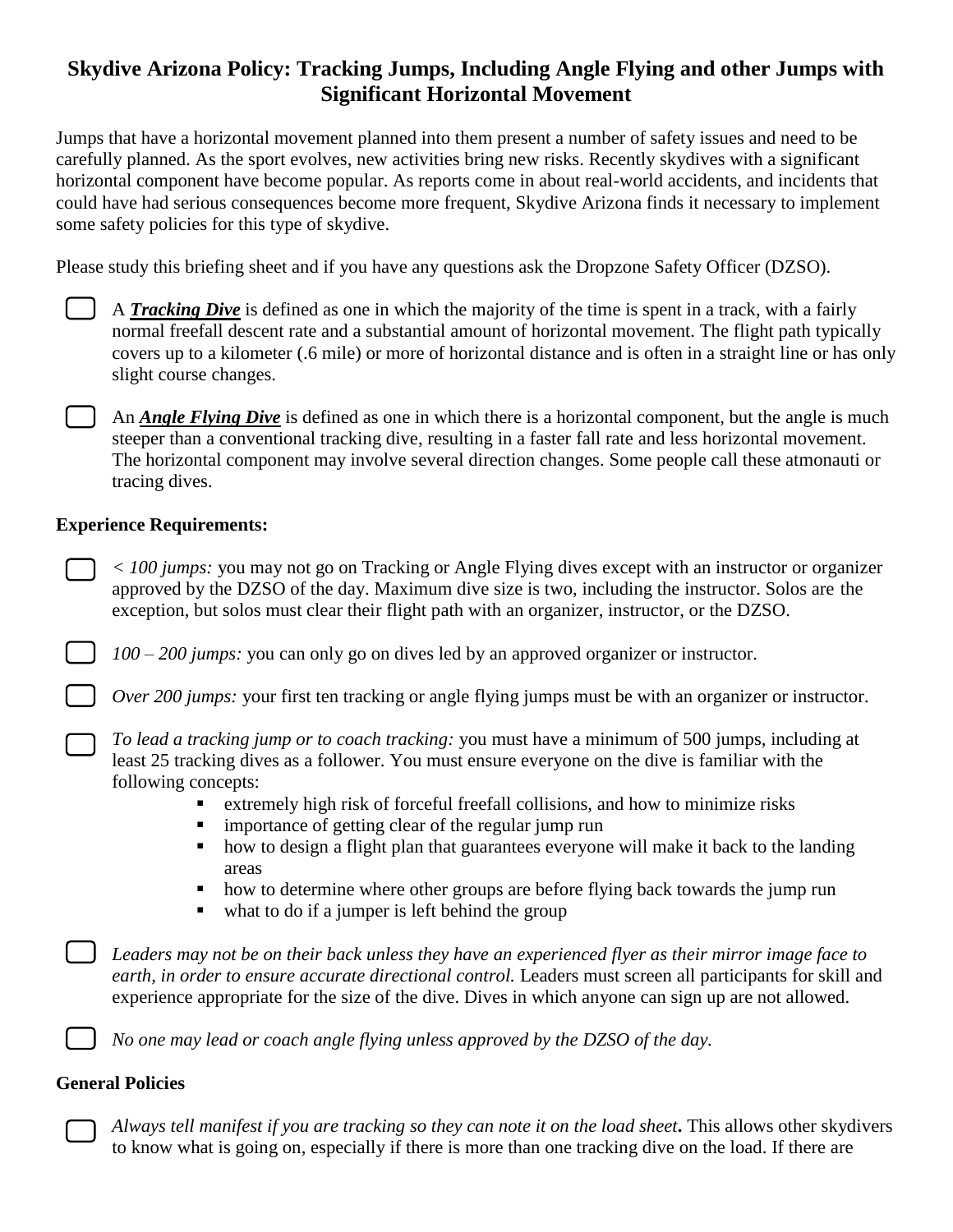## **Skydive Arizona Policy: Tracking Jumps, Including Angle Flying and other Jumps with Significant Horizontal Movement**

Jumps that have a horizontal movement planned into them present a number of safety issues and need to be carefully planned. As the sport evolves, new activities bring new risks. Recently skydives with a significant horizontal component have become popular. As reports come in about real-world accidents, and incidents that could have had serious consequences become more frequent, Skydive Arizona finds it necessary to implement some safety policies for this type of skydive.

Please study this briefing sheet and if you have any questions ask the Dropzone Safety Officer (DZSO).

| I |  |  |  |
|---|--|--|--|
|   |  |  |  |
|   |  |  |  |
|   |  |  |  |
|   |  |  |  |
|   |  |  |  |
|   |  |  |  |
|   |  |  |  |

A *Tracking Dive* is defined as one in which the majority of the time is spent in a track, with a fairly normal freefall descent rate and a substantial amount of horizontal movement. The flight path typically covers up to a kilometer (.6 mile) or more of horizontal distance and is often in a straight line or has only slight course changes.

An *Angle Flying Dive* is defined as one in which there is a horizontal component, but the angle is much steeper than a conventional tracking dive, resulting in a faster fall rate and less horizontal movement. The horizontal component may involve several direction changes. Some people call these atmonauti or tracing dives.

## **Experience Requirements:**

*< 100 jumps:* you may not go on Tracking or Angle Flying dives except with an instructor or organizer approved by the DZSO of the day. Maximum dive size is two, including the instructor. Solos are the exception, but solos must clear their flight path with an organizer, instructor, or the DZSO.

*100 – 200 jumps:* you can only go on dives led by an approved organizer or instructor.

*Over 200 jumps:* your first ten tracking or angle flying jumps must be with an organizer or instructor.

*To lead a tracking jump or to coach tracking:* you must have a minimum of 500 jumps, including at least 25 tracking dives as a follower. You must ensure everyone on the dive is familiar with the following concepts:

- extremely high risk of forceful freefall collisions, and how to minimize risks
- **i** importance of getting clear of the regular jump run
- how to design a flight plan that guarantees everyone will make it back to the landing areas
- how to determine where other groups are before flying back towards the jump run
- what to do if a jumper is left behind the group

*Leaders may not be on their back unless they have an experienced flyer as their mirror image face to earth, in order to ensure accurate directional control.* Leaders must screen all participants for skill and experience appropriate for the size of the dive. Dives in which anyone can sign up are not allowed.

*No one may lead or coach angle flying unless approved by the DZSO of the day.*

## **General Policies**

*Always tell manifest if you are tracking so they can note it on the load sheet***.** This allows other skydivers to know what is going on, especially if there is more than one tracking dive on the load. If there are